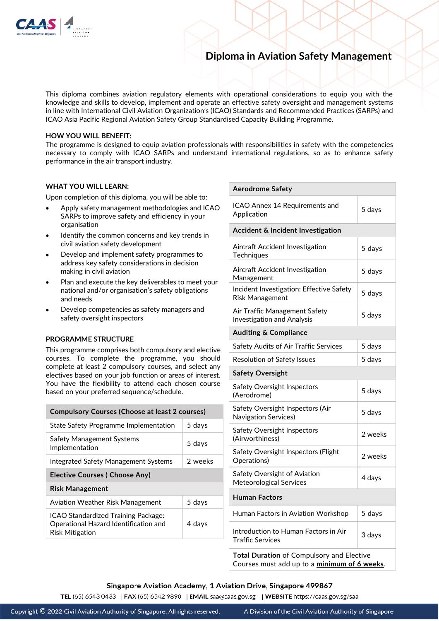

# **Diploma in Aviation Safety Management**

This diploma combines aviation regulatory elements with operational considerations to equip you with the knowledge and skills to develop, implement and operate an effective safety oversight and management systems in line with International Civil Aviation Organization's (ICAO) Standards and Recommended Practices (SARPs) and ICAO Asia Pacific Regional Aviation Safety Group Standardised Capacity Building Programme.

### **HOW YOU WILL BENEFIT:**

The programme is designed to equip aviation professionals with responsibilities in safety with the competencies necessary to comply with ICAO SARPs and understand international regulations, so as to enhance safety performance in the air transport industry.

## **WHAT YOU WILL LEARN:**

Upon completion of this diploma, you will be able to:

- Apply safety management methodologies and ICAO SARPs to improve safety and efficiency in your organisation
- Identify the common concerns and key trends in civil aviation safety development
- Develop and implement safety programmes to address key safety considerations in decision making in civil aviation
- Plan and execute the key deliverables to meet your national and/or organisation's safety obligations and needs
- Develop competencies as safety managers and safety oversight inspectors

## **PROGRAMME STRUCTURE**

This programme comprises both compulsory and elective courses. To complete the programme, you should complete at least 2 compulsory courses, and select any electives based on your job function or areas of interest. You have the flexibility to attend each chosen course based on your preferred sequence/schedule.

| <b>Compulsory Courses (Choose at least 2 courses)</b>                                                  |         |
|--------------------------------------------------------------------------------------------------------|---------|
| State Safety Programme Implementation                                                                  | 5 days  |
| Safety Management Systems<br>Implementation                                                            | 5 days  |
| Integrated Safety Management Systems                                                                   | 2 weeks |
| <b>Elective Courses ( Choose Any)</b>                                                                  |         |
| <b>Risk Management</b>                                                                                 |         |
| Aviation Weather Risk Management                                                                       | 5 days  |
| ICAO Standardized Training Package:<br>Operational Hazard Identification and<br><b>Risk Mitigation</b> | 4 days  |

| <b>Aerodrome Safety</b>                                                                   |         |
|-------------------------------------------------------------------------------------------|---------|
| ICAO Annex 14 Requirements and<br>Application                                             | 5 days  |
| Accident & Incident Investigation                                                         |         |
| Aircraft Accident Investigation<br>Techniques                                             | 5 days  |
| Aircraft Accident Investigation<br>Management                                             | 5 days  |
| Incident Investigation: Effective Safety<br>Risk Management                               | 5 days  |
| Air Traffic Management Safety<br><b>Investigation and Analysis</b>                        | 5 days  |
| <b>Auditing &amp; Compliance</b>                                                          |         |
| Safety Audits of Air Traffic Services                                                     | 5 days  |
| <b>Resolution of Safety Issues</b>                                                        | 5 days  |
| <b>Safety Oversight</b>                                                                   |         |
| Safety Oversight Inspectors<br>(Aerodrome)                                                | 5 days  |
| Safety Oversight Inspectors (Air<br><b>Navigation Services)</b>                           | 5 days  |
| Safety Oversight Inspectors<br>(Airworthiness)                                            | 2 weeks |
| Safety Oversight Inspectors (Flight<br>Operations)                                        | 2 weeks |
| Safety Oversight of Aviation<br>Meteorological Services                                   | 4 days  |
| <b>Human Factors</b>                                                                      |         |
| Human Factors in Aviation Workshop                                                        | 5 days  |
| Introduction to Human Factors in Air<br><b>Traffic Services</b>                           | 3 days  |
| Total Duration of Compulsory and Elective<br>Courses must add up to a minimum of 6 weeks. |         |

### Singapore Aviation Academy, 1 Aviation Drive, Singapore 499867

TEL (65) 6543 0433 | FAX (65) 6542 9890 | EMAIL saa@caas.gov.sg | WEBSITE https://caas.gov.sg/saa